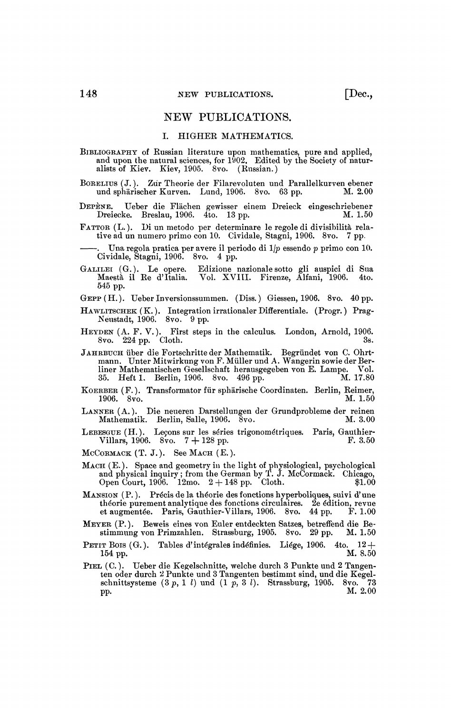## NEW PUBLICATIONS.

## I. HIGHER MATHEMATICS.

BIBLIOGRAPHY of Russian literature upon mathematics, pure and applied, and upon the natural sciences, for 1902. Edited by the Society of naturalists of Kiev. Kiev, 1905. 8vo. (Russian.)

BORELIUS (J.). Zur Theorie der Filarevoluten und Parallelkurven ebener und sphärischer Kurven. Lund, 1906. 8vo. 63 pp.

DEPENE. Ueber die Flachen gewisser einem Dreieck eingeschriebener Dreiecke. Breslau, 1906. 4to. 13 pp.

FATTOR (L. ). Di un metodo per determinare le regole di divisibilità relative ad un numero primo con 10. Cividale, Stagni, 1906. 8vo. 7 pp.

. Una regola pratica per avere il periodo di *\\p* essendo *p* primo con 10. Cividale, Stagni, 1906. 8vo. 4 pp.

- GALILEI (G. ). Le opère. Edizione nazionale sotto gli auspici di Sua Maestà il Re d'Italia. Vol. XVIII. Firenze, Alfani, 1906. 4to. GALILEI (G.). Le opere.<br>Maestà il Re d'Italia.<br>545 pp.
- GEPP (H.). Ueber Inversionssummen. (Diss.) Giessen, 1906. 8vo. 40 pp.
- HAWLITSCHEK (K. ). Integration irrationaler Difîerentiale. (Progr. ) Prag-Neustadt, 1906. 8vo. 9 pp.
- HEYDEN (A. F. V.). First steps in the calculus. London, Arnold, 1906.  $8v$ o.  $224$  pp. Cloth.  $3s$ .
- JAHRBTJCH über die Fortschritte der Mathematik. Begründet von C. Ohrt-mann. Unter Mitwirkung von F. Muller und A. Wangerin sowie der Berliner Mathematischen Gesellschaft herausgegeben von E. Lampe. Vol.<br>35. Heft 1. Berlin, 1906. 8vo. 496 pp. M. 17.80 35. Heft 1. Berlin, 1906. 8vo. 496 pp.
- KOERBER (F.). Transformator für sphärische Coordinaten. Berlin, Reimer,<br>1906. 8vo. 1.50 1906. 8vo.
- LANNER (A.). Die neueren Darstellungen der Grundprobleme der reinen Mathematik. Berlin, Salle, 1906. 8vo.
- LEBESGUE (H. ). Leçons sur les séries trigonométriques. Paris, Gauthier-Villars, 1906. 8vo.  $7 + 128$  pp. F. 3.50
- $MCORMACK$   $(T, J. )$ . See Mach  $(E. )$ .
- MACH (E.). Space and geometry in the light of physiological, psychological and physical inquiry ; from the German by T. J. McCormack. Chicago, Open Court, 1906.  $12 \text{mo. } 2 + 148 \text{ pp. }$  Cloth.  $$1.00$
- MANSION (P. ). Précis de la théorie des fonctions hyperbolique», suivi d'une théorie purement analytique des fonctions circulaires. 2e édition, revue et augmentée. Paris, Gauthier-Villars, 1906. 8vo. 44 pp. F. 1.00
- MEYER (P.). Beweis eines von Euler entdeckten Satzes, betreffend die Bestimmung von Primzahlen. Strassburg, 1905. 8vo. 29 pp.
- PETIT BOIS (G.). Tables d'intégrales indéfinies. Liége, 1906. 4to. 12 + 154 pp.  $M$ . 8.50  $154 \text{ pp.}$  M. 8.50
- PIEL (C.). Ueber die Kegelschnitte, welche durch 3 Punkte und 2 Tangenten oder durch 2 Punkte und 3 Tangenten bestimmt sind, und die Kegelschnittsysteme (3p , 1 *l)* und (1 *p,* 3 *l).* Strassburg, 1905. 8vo. 73 pp.  $M. 2.00$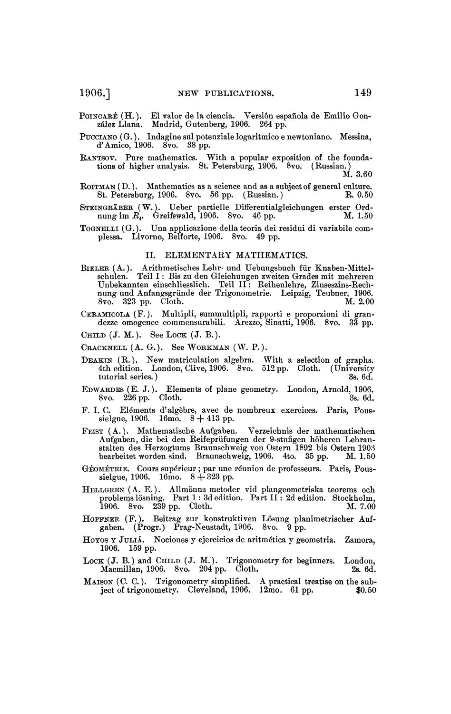POINCARÉ (H.). El valor de la ciencia. Versión española de Emilio Gonzalez Liana. Madrid, Gutenberg, 1906. 264 pp.

PUCCIANO (G.). Indagine sul potenziale logaritmico e newtoniano. Messina, d'Amico, 1906. 8vo. 38 pp.

KANTSOV. Pure mathematics. With a popular exposition of the founda-tions of higher analysis. St. Petersburg, 1906. 8vo. ( Russian. )

M. 3.60

- ROITMAN (D.). Mathematics as a science and as a subject of general culture.<br>St. Petersburg, 1906. 8vo. 56 pp. (Russian.) R. 0.50 St. Petersburg, 1906. 8vo. 56 pp. (Russian.)
- STEINGRABER (W.). Ueber partielle Differentialgleichungen erster Ordnung im  $R$ <sup>*i*</sup>. Greifswald, 1906. 8vo. 46 pp. M. 1.50
- TOGNELLI (G.). Una applicazione della teoria dei residui di variabile complessa. Livorno, Belforte, 1906. 8vo. 49 pp.

## II. ELEMENTARY MATHEMATICS.

- BIELER (A.). Arithmetisches Lehr- und Uebungsbuch für Knaben-Mittelschulen. Teil I: Bis zu den Gleichungen zweiten Grades mit mehreren Unbekannten einschliesslich. Teil II: Reihenlehre, Zinseszins-Rechannten einen ung und
- CERAMICOLA (F.). Multipli, summultipli, rapporti e proporzioni di grandezze omogenee commensurabili. Arezzo, Sinatti, 1906. 8vo. 33 pp.

CHILD  $(J. M. )$ . See LOCK  $(J. B. )$ .

CRACKNELL (A. G.). See WORKMAN (W. P.).

- DEAKIN (R.). New matriculation algebra. With a selection of graphs. 4th edition. London, Clive, 1906. 8vo. 512 pp. Cloth. (University tutorial series.) 3s. 6d. tutorial series.) 3s. 6d.
- EDWARDES (E. J.). Elements of plane geometry. London, Arnold, 1906.  $8$ vo.  $226$  pp. Cloth.  $3s. 6d.$
- F. I. C. Eléments d'algèbre, avec de nombreux exercices. Paris, Pous-sielgue, 1906. 16mo. 8 + 413 pp.
- FEIST (A.). Mathematische Aufgaben. Verzeichnis der mathematischen Aufgaben, die bei den Reifepriifungen der 9-stufigen höheren Lehranstalten des Herzogtums Braunschweig von Ostern 1892 bis Ostern 1903 bearbeitet worden sind. Braunschweig, 1906. 4to. 35 pp. M. 1.50
- GÉOMÉTRIE. Cours supérieur ; par une réunion de professeurs. Paris, Pous-<br>sielgue, 1906. 16mo. 8 + 323 pp.
- HELLGREN (A. E.). Allmânna metoder vid plangeometriska teorems och problems lösning. Part 1 : 3d edition. Part II : 2d edition. Stockholm, 1906. 8vo. 239 pp. Cloth. M. 7.00
- HOPFNER (F.). Beitrag zur konstruktiven Lösung planimetrischer Auf-gaben. (Progr.) Prag-Neustadt, 1906. 8vo. 9 pp.
- HOYOS Y JULIA. Nociones y ejercicios de aritmética y geometria. Zamora, 1906. 159 pp.
- LOCK (J. B.) and CHILD (J. M.). Trigonometry for beginners. London, Macmillan, 1906. 8vo. 204 pp. Cloth. 28. 6d. Macmillan, 1906. 8vo. 204 pp. Cloth.
- MAISON (C. C. ). Trigonometry simplified. A practical treatise on the subject of trigonometry. Cleveland,  $1906.$   $12 \text{mo.}$  61 pp.  $$0.50$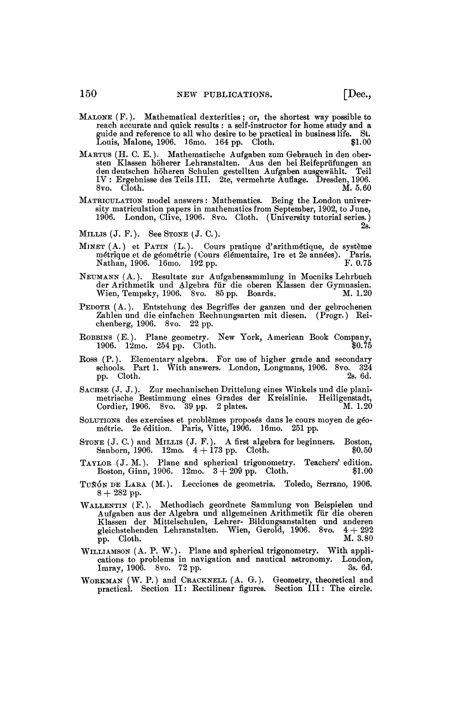- MALONE (F. ). Mathematical dexterities; or, the shortest way possible to reach accurate and quick results : a self-instructor for home study and a guide and reference to all who desire to be practical in business life» St. Louis, Malone, 1906. 16mo. 164 pp. Cloth. \$1.00
- MARTUS (H. C. E. ). Mathematische Aufgaben zum Gebrauch in den obersten Klassen höherer Lehranstalten. Aus den bei Reifeprüfungen an den deutschen höheren Schulen gestellten Aufgaben ausgewâhlt. Teil IV : Ergebnisse des Teils III. 2te, vermehrte Auflage. Dresden, 1906. 8vo. Cloth. M. 5.60
- MATRICULATION model answers : Mathematics. Being the London university matriculation papers in mathematics from September, 1902, to June, 1906. London, Clive, 1906. 8vo. Cloth. (University tutorial series. ) 2s.
- MILLIS  $(J. F. )$ . See STONE  $(J. C. )$ .
- MINET (A.) et PATIN (L.). Cours pratique d'arithmétique, de système métrique et de géométrie (Cours élémentaire, Ire et 2e années). Paris, Nathan, 1906. 16mo. 192 pp. F. 0.75
- NEUMANN (A.). Resultate zur Aufgabensammlung in Mocniks Lehrbuch der Arithmetik und algebra für die oberen Klassen der Gymnasien. Wien, Tempsky, 1906. 8vo. 85 pp. Boards. M. 1.20
- PEDOTH (A.). Entstehung des Begriffes der ganzen und der gebrochenen Zahlen und die einfachen Rechnungsarten mit diesen. (Progr.) Reichenberg, 1906. 8vo. 22 pp.
- ROBBINS (E.). Plane geometry. New York, American Book Company, 1906. 12mo. 254 pp. Cloth. 40.75 1906. 12mo. 254 pp. Cloth.
- Ross (P.). Elementary algebra. For use of higher grade and secondary schools. Part 1. With answers. London, Longmans, 1906. 8vo. 324 pp. Cloth. 2s. 6d.
- SACHSE (J. J.). Zur mechanischen Drittelung eines Winkels und die planimetrische Bestimmung eines Grades der Kreislinie. Heiligenstadt, Cordier, 1906. 8vo.  $39$  pp. 2 plates. M. 1.20
- SOLUTIONS des exercises et problèmes proposés dans le cours moyen de géo-métrie. 2e édition. Paris, Vitte, 1906. 16mo. 251pp.
- STONE (J. C.) and MILLIS (J. F.). A first algebra for beginners. Boston,<br>Sanborn, 1906. 12mo.  $4+173$  pp. Cloth.  $$0.50$ Sanborn, 1906.  $12m$ o.  $4 + 173$  pp. Cloth.
- TAYLOR (J. M.). Plane and spherical trigonometry. Teachers' edition. Boston, Ginn, 1906.  $12\text{mo.}$   $3 + 209 \text{ pp.}$  Cloth.  $$1.00$
- TUNÓN DE LARA (M.). Lecciones de geometria. Toledo, Serrano, 1906.  $8 + 282$  pp.
- WALLENTIN (F.). Methodisch geordnete Sammlung von Beispielen und Aufgaben aus der Algebra und allgemeinen Arithmetik für die oberen Klassen der Mittelschulen, Lehrer- Bildungsanstalten und anderen gleichstehenden Lehranstalten. Wien, Gerold, 1906. 8vo.  $4+292$  $\overline{p}$ p. Cloth. M. 3.80
- WILLIAMSON (A. P. W.). Plane and spherical trigonometry. With applications to problems in navigation and nautical astronomy. London, Imray, 1906. 8vo. 72 pp. 3s. 6d.
- WORKMAN (W. P.) and CRACKNELL (A. G.). Geometry, theoretical and practical. Section II : Rectilinear figures. Section III : The circle.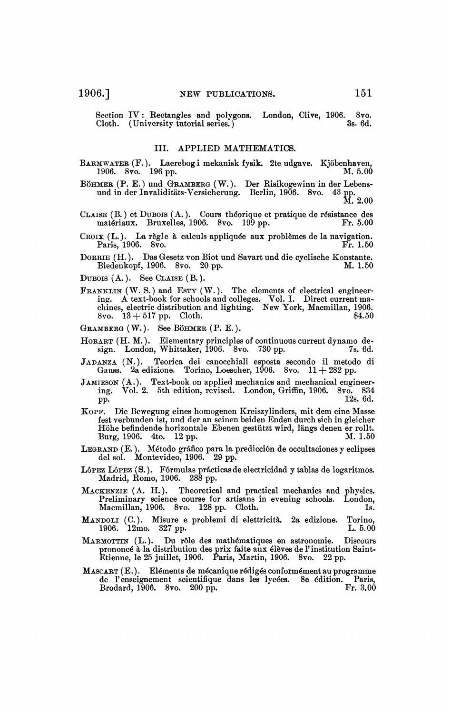Section IV : Kectangles and polygons. London, Clive, 1906. 8vo. Cloth. (University tutorial series.)

## III. APPLIED MATHEMATICS.

BARMWATER (F.). Laerebog i mekanisk fysik. 2te udgave. Kjöbenhaven, 1906. 8vo. 196 pp. 1906. 8vo.

BÖHMER (P. E. ) und GRAMBERG (W.). Der Risikogewinn in der Lebensund in der Invaliditäts-Versicherung. Berlin, 1906. 8vo.  $^{43}$  pp.<br>M. 2.00

- CLAISE (B. ) et DUBOIS (A. ). Cours théorique et pratique de résistance des matériaux. Bruxelles, 1906. 8vo. 199 pp. Fr. 5.00
- CROIX (L.). La règle à calculs appliquée aux problèmes de la navigation. Paris, 1906. 8vo.

DORRIE (H. ). Das Gesetz von Biot und Savart und die cyclische Konstante. Biedenkopf, 1906. 8vo. 20 pp.

DUBOIS  $(A. )$ . See CLAISE  $(B. )$ .

FRANKLIN (W. S.) and ESTY (W.). The elements of electrical engineer-ing. A text-book for schools and colleges. Vol. I. Direct current ma-chines, electric distribution and lighting. New York, Macmillan, 1906. 8vo.  $13 + 517$  pp. Cloth.  $$4.50$ 

GRAMBERG (W.). See BÖHMER (P. E. ).

- HORART (H. M. ). Elementary principles of continuous current dynamo de-sign. London, Whittaker, 1906. 8vo. 730 pp. 7s. 6d.
- JADANZA (N.). Teorica dei canocchiali esposta secondo il metodo di Gauss. 2a edizione. Torino, Loescher, 1906. 8vo.  $11+282$  pp.
- JAMIESON (A.). Text-book on applied mechanics and mechanical engineering. Vol. 2. 5th edition, revised. London, Griffin, 1906. 8vo. 834  $pp.$  12s. 6d.
- KOPF. Die Bewegung eines homogenen Kreiszylinders, mit dem eine Masse fest verbunden ist, und der an seinen beiden Enden durch sich in gleicher Höhe befindende horizontale Ebenen gestützt wird, längs denen er rollt.<br>Burg. 1906. – 4to. – 12 pp. Burg, 1906. 4to. 12 pp.
- LEGRAND (E. ). Método grâfico para la predicción de occultaciones y eclipses del sol. Montevideo, 1906. 29 pp.
- LÓPEZ LÓPEZ (S.). Fórmulas prácticas de electricidad y tablas de logaritmos. Madrid, Homo, 1906. 288 pp.
- MACKENZIE (A. H.). Theoretical and practical mechanics and physics. Preliminary science course for artisans in evening schools. London, Macmillan, 1906. 8vo. 128 pp. Cloth. 1s.
- MANDOM (C) . Misure e problemi di elettricità. 2a edizione. Torino, 1906. 12mo. 327 pp. 1. 5.00
- MARMOTTIN (L.). DU rôle des mathématiques en astronomie. Discours prononcé à la distribution des prix faite aux élèves de l'institution Saint-Etienne, le 25 juillet, 1906. Paris, Martin, 1906. 8vo. 22 pp.
- MASCART (E. ). Eléments de mécanique rédigés conformément au programme de l'enseignement scientifique dans les lycées. 8e édition. Paris, Brodard, 1906. 8vo. 200 pp. Brodard, 1906. 8vo. 200 pp.